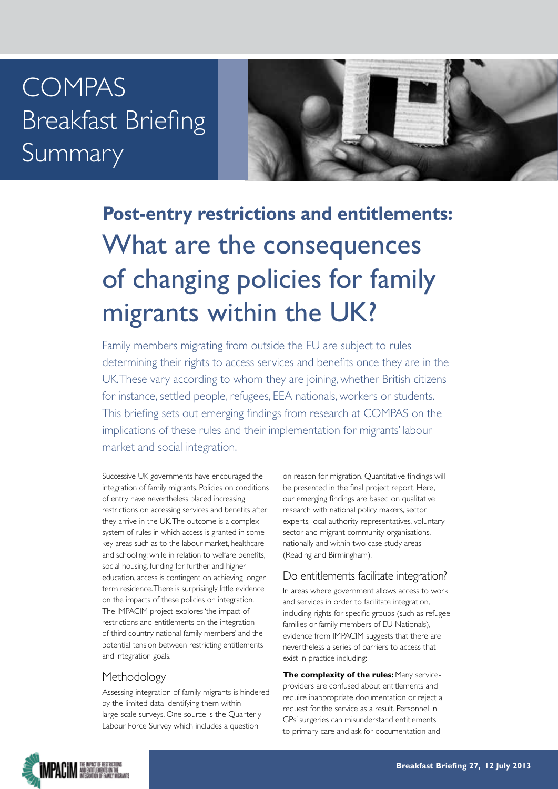# COMPAS Breakfast Briefing Summary



# **Post-entry restrictions and entitlements:** What are the consequences of changing policies for family migrants within the UK?

Family members migrating from outside the EU are subject to rules determining their rights to access services and benefits once they are in the UK. These vary according to whom they are joining, whether British citizens for instance, settled people, refugees, EEA nationals, workers or students. This briefing sets out emerging findings from research at COMPAS on the implications of these rules and their implementation for migrants' labour market and social integration.

Successive UK governments have encouraged the integration of family migrants. Policies on conditions of entry have nevertheless placed increasing restrictions on accessing services and benefits after they arrive in the UK. The outcome is a complex system of rules in which access is granted in some key areas such as to the labour market, healthcare and schooling; while in relation to welfare benefits, social housing, funding for further and higher education, access is contingent on achieving longer term residence. There is surprisingly little evidence on the impacts of these policies on integration. The IMPACIM project explores 'the impact of restrictions and entitlements on the integration of third country national family members' and the potential tension between restricting entitlements and integration goals.

## Methodology

Assessing integration of family migrants is hindered by the limited data identifying them within large-scale surveys. One source is the Quarterly Labour Force Survey which includes a question

on reason for migration. Quantitative findings will be presented in the final project report. Here, our emerging findings are based on qualitative research with national policy makers, sector experts, local authority representatives, voluntary sector and migrant community organisations, nationally and within two case study areas (Reading and Birmingham).

### Do entitlements facilitate integration?

In areas where government allows access to work and services in order to facilitate integration, including rights for specific groups (such as refugee families or family members of EU Nationals), evidence from IMPACIM suggests that there are nevertheless a series of barriers to access that exist in practice including:

**The complexity of the rules:** Many serviceproviders are confused about entitlements and require inappropriate documentation or reject a request for the service as a result. Personnel in GPs' surgeries can misunderstand entitlements to primary care and ask for documentation and